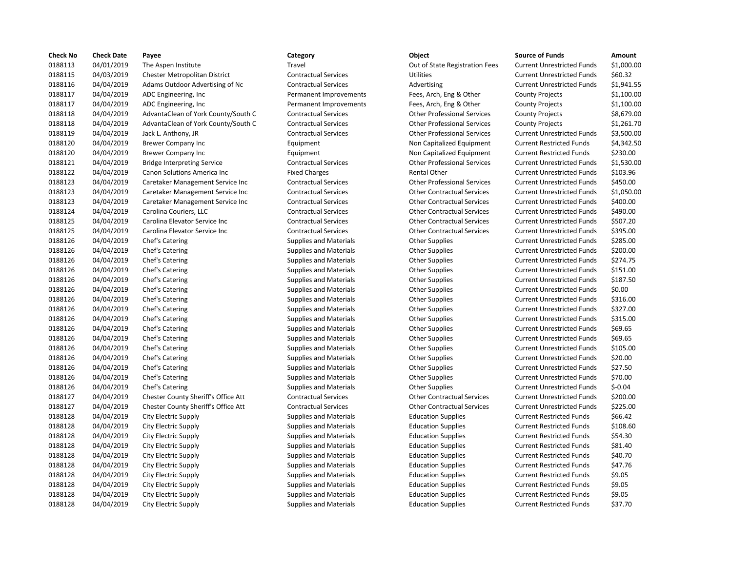| <b>Check No</b> | <b>Check Date</b> | Payee                               | Category                      | Object                             | <b>Source of Funds</b>            | Amount    |
|-----------------|-------------------|-------------------------------------|-------------------------------|------------------------------------|-----------------------------------|-----------|
| 0188113         | 04/01/2019        | The Aspen Institute                 | Travel                        | Out of State Registration Fees     | <b>Current Unrestricted Funds</b> | \$1,000.0 |
| 0188115         | 04/03/2019        | Chester Metropolitan District       | <b>Contractual Services</b>   | Utilities                          | <b>Current Unrestricted Funds</b> | \$60.32   |
| 0188116         | 04/04/2019        | Adams Outdoor Advertising of Nc     | <b>Contractual Services</b>   | Advertising                        | <b>Current Unrestricted Funds</b> | \$1,941.5 |
| 0188117         | 04/04/2019        | ADC Engineering, Inc.               | Permanent Improvements        | Fees, Arch, Eng & Other            | <b>County Projects</b>            | \$1,100.0 |
| 0188117         | 04/04/2019        | ADC Engineering, Inc.               | Permanent Improvements        | Fees, Arch, Eng & Other            | <b>County Projects</b>            | \$1,100.0 |
| 0188118         | 04/04/2019        | AdvantaClean of York County/South C | <b>Contractual Services</b>   | <b>Other Professional Services</b> | <b>County Projects</b>            | \$8,679.0 |
| 0188118         | 04/04/2019        | AdvantaClean of York County/South C | <b>Contractual Services</b>   | <b>Other Professional Services</b> | <b>County Projects</b>            | \$1,261.7 |
| 0188119         | 04/04/2019        | Jack L. Anthony, JR                 | <b>Contractual Services</b>   | <b>Other Professional Services</b> | <b>Current Unrestricted Funds</b> | \$3,500.0 |
| 0188120         | 04/04/2019        | <b>Brewer Company Inc</b>           | Equipment                     | Non Capitalized Equipment          | <b>Current Restricted Funds</b>   | \$4,342.5 |
| 0188120         | 04/04/2019        | <b>Brewer Company Inc</b>           | Equipment                     | Non Capitalized Equipment          | <b>Current Restricted Funds</b>   | \$230.00  |
| 0188121         | 04/04/2019        | <b>Bridge Interpreting Service</b>  | <b>Contractual Services</b>   | <b>Other Professional Services</b> | <b>Current Unrestricted Funds</b> | \$1,530.0 |
| 0188122         | 04/04/2019        | Canon Solutions America Inc         | <b>Fixed Charges</b>          | <b>Rental Other</b>                | <b>Current Unrestricted Funds</b> | \$103.96  |
| 0188123         | 04/04/2019        | Caretaker Management Service Inc    | <b>Contractual Services</b>   | <b>Other Professional Services</b> | <b>Current Unrestricted Funds</b> | \$450.00  |
| 0188123         | 04/04/2019        | Caretaker Management Service Inc    | <b>Contractual Services</b>   | <b>Other Contractual Services</b>  | <b>Current Unrestricted Funds</b> | \$1,050.0 |
| 0188123         | 04/04/2019        | Caretaker Management Service Inc    | <b>Contractual Services</b>   | <b>Other Contractual Services</b>  | <b>Current Unrestricted Funds</b> | \$400.00  |
| 0188124         | 04/04/2019        | Carolina Couriers, LLC              | <b>Contractual Services</b>   | <b>Other Contractual Services</b>  | <b>Current Unrestricted Funds</b> | \$490.00  |
| 0188125         | 04/04/2019        | Carolina Elevator Service Inc       | <b>Contractual Services</b>   | <b>Other Contractual Services</b>  | <b>Current Unrestricted Funds</b> | \$507.20  |
| 0188125         | 04/04/2019        | Carolina Elevator Service Inc       | <b>Contractual Services</b>   | <b>Other Contractual Services</b>  | <b>Current Unrestricted Funds</b> | \$395.00  |
| 0188126         | 04/04/2019        | Chef's Catering                     | <b>Supplies and Materials</b> | <b>Other Supplies</b>              | <b>Current Unrestricted Funds</b> | \$285.00  |
| 0188126         | 04/04/2019        | Chef's Catering                     | <b>Supplies and Materials</b> | <b>Other Supplies</b>              | <b>Current Unrestricted Funds</b> | \$200.00  |
| 0188126         | 04/04/2019        | Chef's Catering                     | Supplies and Materials        | <b>Other Supplies</b>              | <b>Current Unrestricted Funds</b> | \$274.75  |
| 0188126         | 04/04/2019        | Chef's Catering                     | <b>Supplies and Materials</b> | <b>Other Supplies</b>              | <b>Current Unrestricted Funds</b> | \$151.00  |
| 0188126         | 04/04/2019        | Chef's Catering                     | <b>Supplies and Materials</b> | <b>Other Supplies</b>              | <b>Current Unrestricted Funds</b> | \$187.50  |
| 0188126         | 04/04/2019        | Chef's Catering                     | <b>Supplies and Materials</b> | <b>Other Supplies</b>              | <b>Current Unrestricted Funds</b> | \$0.00    |
| 0188126         | 04/04/2019        | Chef's Catering                     | <b>Supplies and Materials</b> | <b>Other Supplies</b>              | <b>Current Unrestricted Funds</b> | \$316.00  |
| 0188126         | 04/04/2019        | Chef's Catering                     | <b>Supplies and Materials</b> | <b>Other Supplies</b>              | <b>Current Unrestricted Funds</b> | \$327.00  |
| 0188126         | 04/04/2019        | Chef's Catering                     | <b>Supplies and Materials</b> | <b>Other Supplies</b>              | <b>Current Unrestricted Funds</b> | \$315.00  |
| 0188126         | 04/04/2019        | Chef's Catering                     | <b>Supplies and Materials</b> | <b>Other Supplies</b>              | <b>Current Unrestricted Funds</b> | \$69.65   |
| 0188126         | 04/04/2019        | Chef's Catering                     | <b>Supplies and Materials</b> | <b>Other Supplies</b>              | <b>Current Unrestricted Funds</b> | \$69.65   |
| 0188126         | 04/04/2019        | Chef's Catering                     | <b>Supplies and Materials</b> | <b>Other Supplies</b>              | <b>Current Unrestricted Funds</b> | \$105.00  |
| 0188126         | 04/04/2019        | Chef's Catering                     | <b>Supplies and Materials</b> | <b>Other Supplies</b>              | <b>Current Unrestricted Funds</b> | \$20.00   |
| 0188126         | 04/04/2019        | Chef's Catering                     | <b>Supplies and Materials</b> | <b>Other Supplies</b>              | <b>Current Unrestricted Funds</b> | \$27.50   |
| 0188126         | 04/04/2019        | Chef's Catering                     | <b>Supplies and Materials</b> | <b>Other Supplies</b>              | <b>Current Unrestricted Funds</b> | \$70.00   |
| 0188126         | 04/04/2019        | Chef's Catering                     | <b>Supplies and Materials</b> | <b>Other Supplies</b>              | <b>Current Unrestricted Funds</b> | $$-0.04$  |
| 0188127         | 04/04/2019        | Chester County Sheriff's Office Att | <b>Contractual Services</b>   | <b>Other Contractual Services</b>  | <b>Current Unrestricted Funds</b> | \$200.00  |
| 0188127         | 04/04/2019        | Chester County Sheriff's Office Att | <b>Contractual Services</b>   | <b>Other Contractual Services</b>  | <b>Current Unrestricted Funds</b> | \$225.00  |
| 0188128         | 04/04/2019        | City Electric Supply                | <b>Supplies and Materials</b> | <b>Education Supplies</b>          | <b>Current Restricted Funds</b>   | \$66.42   |
| 0188128         | 04/04/2019        | City Electric Supply                | <b>Supplies and Materials</b> | <b>Education Supplies</b>          | <b>Current Restricted Funds</b>   | \$108.60  |
| 0188128         | 04/04/2019        | City Electric Supply                | <b>Supplies and Materials</b> | <b>Education Supplies</b>          | <b>Current Restricted Funds</b>   | \$54.30   |
| 0188128         | 04/04/2019        | City Electric Supply                | <b>Supplies and Materials</b> | <b>Education Supplies</b>          | <b>Current Restricted Funds</b>   | \$81.40   |
| 0188128         | 04/04/2019        | City Electric Supply                | <b>Supplies and Materials</b> | <b>Education Supplies</b>          | <b>Current Restricted Funds</b>   | \$40.70   |
| 0188128         | 04/04/2019        | City Electric Supply                | <b>Supplies and Materials</b> | <b>Education Supplies</b>          | <b>Current Restricted Funds</b>   | \$47.76   |
| 0188128         | 04/04/2019        | City Electric Supply                | <b>Supplies and Materials</b> | <b>Education Supplies</b>          | <b>Current Restricted Funds</b>   | \$9.05    |
| 0188128         | 04/04/2019        | City Electric Supply                | <b>Supplies and Materials</b> | <b>Education Supplies</b>          | <b>Current Restricted Funds</b>   | \$9.05    |
| 0188128         | 04/04/2019        | City Electric Supply                | <b>Supplies and Materials</b> | <b>Education Supplies</b>          | <b>Current Restricted Funds</b>   | \$9.05    |
| 0188128         | 04/04/2019        | City Electric Supply                | <b>Supplies and Materials</b> | <b>Education Supplies</b>          | <b>Current Restricted Funds</b>   | \$37.70   |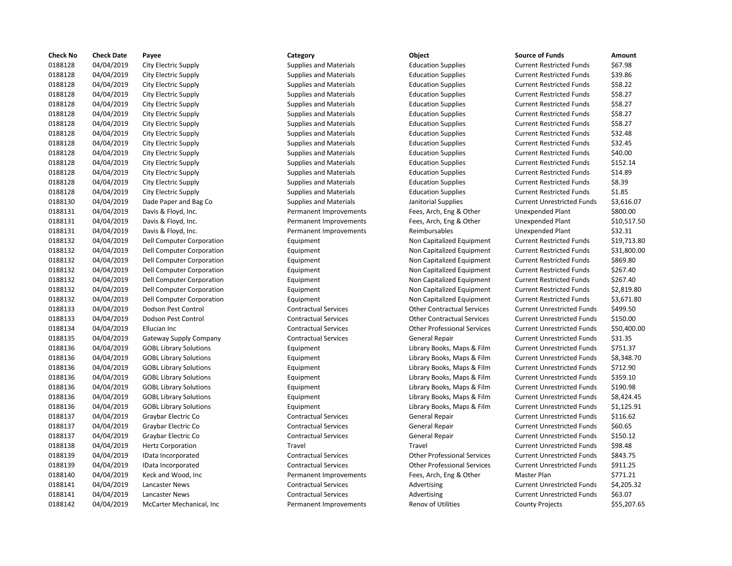| <b>Check No</b> | <b>Check Date</b> | Payee                         | Category                      | Object                             | <b>Source of Funds</b>            | Amount    |
|-----------------|-------------------|-------------------------------|-------------------------------|------------------------------------|-----------------------------------|-----------|
| 0188128         | 04/04/2019        | City Electric Supply          | <b>Supplies and Materials</b> | <b>Education Supplies</b>          | <b>Current Restricted Funds</b>   | \$67.98   |
| 0188128         | 04/04/2019        | City Electric Supply          | <b>Supplies and Materials</b> | <b>Education Supplies</b>          | <b>Current Restricted Funds</b>   | \$39.86   |
| 0188128         | 04/04/2019        | City Electric Supply          | <b>Supplies and Materials</b> | <b>Education Supplies</b>          | <b>Current Restricted Funds</b>   | \$58.22   |
| 0188128         | 04/04/2019        | City Electric Supply          | <b>Supplies and Materials</b> | <b>Education Supplies</b>          | <b>Current Restricted Funds</b>   | \$58.27   |
| 0188128         | 04/04/2019        | City Electric Supply          | <b>Supplies and Materials</b> | <b>Education Supplies</b>          | <b>Current Restricted Funds</b>   | \$58.27   |
| 0188128         | 04/04/2019        | City Electric Supply          | <b>Supplies and Materials</b> | <b>Education Supplies</b>          | <b>Current Restricted Funds</b>   | \$58.27   |
| 0188128         | 04/04/2019        | City Electric Supply          | <b>Supplies and Materials</b> | <b>Education Supplies</b>          | <b>Current Restricted Funds</b>   | \$58.27   |
| 0188128         | 04/04/2019        | City Electric Supply          | <b>Supplies and Materials</b> | <b>Education Supplies</b>          | <b>Current Restricted Funds</b>   | \$32.48   |
| 0188128         | 04/04/2019        | City Electric Supply          | <b>Supplies and Materials</b> | <b>Education Supplies</b>          | <b>Current Restricted Funds</b>   | \$32.45   |
| 0188128         | 04/04/2019        | City Electric Supply          | <b>Supplies and Materials</b> | <b>Education Supplies</b>          | <b>Current Restricted Funds</b>   | \$40.00   |
| 0188128         | 04/04/2019        | City Electric Supply          | <b>Supplies and Materials</b> | <b>Education Supplies</b>          | <b>Current Restricted Funds</b>   | \$152.14  |
| 0188128         | 04/04/2019        | City Electric Supply          | <b>Supplies and Materials</b> | <b>Education Supplies</b>          | <b>Current Restricted Funds</b>   | \$14.89   |
| 0188128         | 04/04/2019        | City Electric Supply          | <b>Supplies and Materials</b> | <b>Education Supplies</b>          | <b>Current Restricted Funds</b>   | \$8.39    |
| 0188128         | 04/04/2019        | City Electric Supply          | <b>Supplies and Materials</b> | <b>Education Supplies</b>          | <b>Current Restricted Funds</b>   | \$1.85    |
| 0188130         | 04/04/2019        | Dade Paper and Bag Co         | <b>Supplies and Materials</b> | Janitorial Supplies                | <b>Current Unrestricted Funds</b> | \$3,616.0 |
| 0188131         | 04/04/2019        | Davis & Floyd, Inc.           | Permanent Improvements        | Fees, Arch, Eng & Other            | Unexpended Plant                  | \$800.00  |
| 0188131         | 04/04/2019        | Davis & Floyd, Inc.           | Permanent Improvements        | Fees, Arch, Eng & Other            | <b>Unexpended Plant</b>           | \$10,517  |
| 0188131         | 04/04/2019        | Davis & Floyd, Inc.           | Permanent Improvements        | Reimbursables                      | Unexpended Plant                  | \$32.31   |
| 0188132         | 04/04/2019        | Dell Computer Corporation     | Equipment                     | Non Capitalized Equipment          | <b>Current Restricted Funds</b>   | \$19,713  |
| 0188132         | 04/04/2019        | Dell Computer Corporation     | Equipment                     | Non Capitalized Equipment          | <b>Current Restricted Funds</b>   | \$31,800  |
| 0188132         | 04/04/2019        | Dell Computer Corporation     | Equipment                     | Non Capitalized Equipment          | <b>Current Restricted Funds</b>   | \$869.80  |
| 0188132         | 04/04/2019        | Dell Computer Corporation     | Equipment                     | Non Capitalized Equipment          | <b>Current Restricted Funds</b>   | \$267.40  |
| 0188132         | 04/04/2019        | Dell Computer Corporation     | Equipment                     | Non Capitalized Equipment          | <b>Current Restricted Funds</b>   | \$267.40  |
| 0188132         | 04/04/2019        | Dell Computer Corporation     | Equipment                     | Non Capitalized Equipment          | <b>Current Restricted Funds</b>   | \$2,819.8 |
| 0188132         | 04/04/2019        | Dell Computer Corporation     | Equipment                     | Non Capitalized Equipment          | <b>Current Restricted Funds</b>   | \$3,671.8 |
| 0188133         | 04/04/2019        | Dodson Pest Control           | <b>Contractual Services</b>   | <b>Other Contractual Services</b>  | <b>Current Unrestricted Funds</b> | \$499.50  |
| 0188133         | 04/04/2019        | Dodson Pest Control           | <b>Contractual Services</b>   | <b>Other Contractual Services</b>  | <b>Current Unrestricted Funds</b> | \$150.00  |
| 0188134         | 04/04/2019        | Ellucian Inc                  | <b>Contractual Services</b>   | <b>Other Professional Services</b> | <b>Current Unrestricted Funds</b> | \$50,400  |
| 0188135         | 04/04/2019        | Gateway Supply Company        | <b>Contractual Services</b>   | General Repair                     | <b>Current Unrestricted Funds</b> | \$31.35   |
| 0188136         | 04/04/2019        | <b>GOBL Library Solutions</b> | Equipment                     | Library Books, Maps & Film         | <b>Current Unrestricted Funds</b> | \$751.37  |
| 0188136         | 04/04/2019        | <b>GOBL Library Solutions</b> | Equipment                     | Library Books, Maps & Film         | <b>Current Unrestricted Funds</b> | \$8,348.7 |
| 0188136         | 04/04/2019        | <b>GOBL Library Solutions</b> | Equipment                     | Library Books, Maps & Film         | <b>Current Unrestricted Funds</b> | \$712.90  |
| 0188136         | 04/04/2019        | <b>GOBL Library Solutions</b> | Equipment                     | Library Books, Maps & Film         | <b>Current Unrestricted Funds</b> | \$359.10  |
| 0188136         | 04/04/2019        | <b>GOBL Library Solutions</b> | Equipment                     | Library Books, Maps & Film         | <b>Current Unrestricted Funds</b> | \$190.98  |
| 0188136         | 04/04/2019        | <b>GOBL Library Solutions</b> | Equipment                     | Library Books, Maps & Film         | <b>Current Unrestricted Funds</b> | \$8,424.4 |
| 0188136         | 04/04/2019        | <b>GOBL Library Solutions</b> | Equipment                     | Library Books, Maps & Film         | <b>Current Unrestricted Funds</b> | \$1,125.9 |
| 0188137         | 04/04/2019        | Graybar Electric Co           | <b>Contractual Services</b>   | General Repair                     | <b>Current Unrestricted Funds</b> | \$116.62  |
| 0188137         | 04/04/2019        | Graybar Electric Co           | <b>Contractual Services</b>   | General Repair                     | <b>Current Unrestricted Funds</b> | \$60.65   |
| 0188137         | 04/04/2019        | Graybar Electric Co           | <b>Contractual Services</b>   | General Repair                     | <b>Current Unrestricted Funds</b> | \$150.12  |
| 0188138         | 04/04/2019        | <b>Hertz Corporation</b>      | Travel                        | Travel                             | <b>Current Unrestricted Funds</b> | \$98.48   |
| 0188139         | 04/04/2019        | IData Incorporated            | <b>Contractual Services</b>   | <b>Other Professional Services</b> | <b>Current Unrestricted Funds</b> | \$843.75  |
| 0188139         | 04/04/2019        | IData Incorporated            | <b>Contractual Services</b>   | <b>Other Professional Services</b> | <b>Current Unrestricted Funds</b> | \$911.25  |
| 0188140         | 04/04/2019        | Keck and Wood, Inc            | Permanent Improvements        | Fees, Arch, Eng & Other            | Master Plan                       | \$771.21  |
| 0188141         | 04/04/2019        | Lancaster News                | <b>Contractual Services</b>   | Advertising                        | <b>Current Unrestricted Funds</b> | \$4,205.3 |
| 0188141         | 04/04/2019        | Lancaster News                | <b>Contractual Services</b>   | Advertising                        | <b>Current Unrestricted Funds</b> | \$63.07   |
| 0188142         | 04/04/2019        | McCarter Mechanical, Inc.     | Permanent Improvements        | <b>Renov of Utilities</b>          | <b>County Projects</b>            | \$55,207  |

# 04/04/2019 City Electric Supply Supplies and Materials Education Supplies Current Restricted Funds \$39.86 04/04/2019 City Electric Supply Supplies and Materials Education Supplies Current Restricted Funds \$58.22 04/04/2019 City Electric Supply Supplies and Materials Education Supplies Current Restricted Funds \$58.27 04/04/2019 City Electric Supply Supplies and Materials Education Supplies Current Restricted Funds \$58.27 04/04/2019 City Electric Supply Supplies and Materials Education Supplies Current Restricted Funds \$58.27 04/04/2019 City Electric Supply Supplies and Materials Education Supplies Current Restricted Funds \$58.27 04/04/2019 City Electric Supply Supplies and Materials Education Supplies Current Restricted Funds \$32.48 04/04/2019 City Electric Supply Supplies and Materials Education Supplies Current Restricted Funds \$32.45 Supplies and Materials **Current Supplies** Current Restricted Funds \$40.00 04/04/2019 City Electric Supply Supplies and Materials Education Supplies Current Restricted Funds \$152.14 04/04/2019 City Electric Supply Supplies and Materials Education Supplies Current Restricted Funds \$14.89 04/04/2019 City Electric Supply Supplies and Materials Education Supplies Current Restricted Funds \$1.85 04/04/2019 Dade Paper and Bag Co Supplies and Materials Janitorial Supplies Current Unrestricted Funds \$3,616.07 Permanent Improvements Fees, Arch, Eng & Other Unexpended Plant \$800.00 Permanent Improvements Fees, Arch, Eng & Other Unexpended Plant \$10,517.50 Permanent Improvements **David Reimbursables** Unexpended Plant \$32.31 04/04/2019 Dell Computer Corporation Equipment Non Capitalized Equipment Current Restricted Funds \$19,713.80 04/04/2019 Dell Computer Corporation Equipment Non Capitalized Equipment Current Restricted Funds \$31,800.00 04/04/2019 Dell Computer Corporation Equipment Non Capitalized Equipment Current Restricted Funds \$869.80 tion and the Computer Computer Computer Computer Computer Current Restricted Funds and the Equipment Current Restricted Funds \$267.40 04/04/2019 Dell Computer Corporation Equipment Non Capitalized Equipment Current Restricted Funds \$267.40 04/04/2019 Dell Computer Corporation Equipment Non Capitalized Equipment Current Restricted Funds \$2,819.80 04/04/2019 Dell Computer Corporation Equipment Non Capitalized Equipment Current Restricted Funds \$3,671.80 04/04/2019 Dodson Pest Control Contractual Services Other Contractual Services Current Unrestricted Funds \$499.50 04/04/2019 Dodson Pest Control Contractual Services Other Contractual Services Current Unrestricted Funds \$150.00 04/04/2019 Ellucian Inc Contractual Services Other Professional Services Current Unrestricted Funds \$50,400.00 018 11813 12181 01182019 Contractual Services General Repair Current Unrestricted Funds in Santiactual Services 04/04/2019 GOBL Library Solutions Equipment Library Books, Maps & Film Current Unrestricted Funds \$751.37 Equipment Current Library Books, Maps & Film Current Unrestricted Funds \$8,348.70 Equipment **Example 2018** Library Books, Maps & Film Current Unrestricted Funds \$712.90 04/04/2019 GOBL Library Solutions Equipment Library Books, Maps & Film Current Unrestricted Funds \$359.10 Equipment **Example 21 Clibrary Books, Maps & Film** Current Unrestricted Funds \$190.98 04/04/2019 GOBL Library Solutions Equipment Library Books, Maps & Film Current Unrestricted Funds \$8,424.45 04/04/2019 GOBL Library Solutions Equipment Library Books, Maps & Film Current Unrestricted Funds \$1,125.91 04/04/2019 Graybar Electric Co Contractual Services General Repair Current Unrestricted Funds \$116.62 04/04/2019 Graybar Electric Co Contractual Services General Repair Current Unrestricted Funds \$60.65 04/04/2019 Graybar Electric Co Contractual Services General Repair Current Unrestricted Funds \$150.12 04/04/2019 Hertz Corporation Travel Travel Current Unrestricted Funds \$98.48 04/04/2019 IData Incorporated Contractual Services Other Professional Services Current Unrestricted Funds \$843.75 04/04/2019 IData Incorporated Contractual Services Other Professional Services Current Unrestricted Funds \$911.25 Permanent Improvements Fees, Arch, Eng & Other Master Plan \$771.21 04/04/2019 Lancaster News Contractual Services Advertising Current Unrestricted Funds \$4,205.32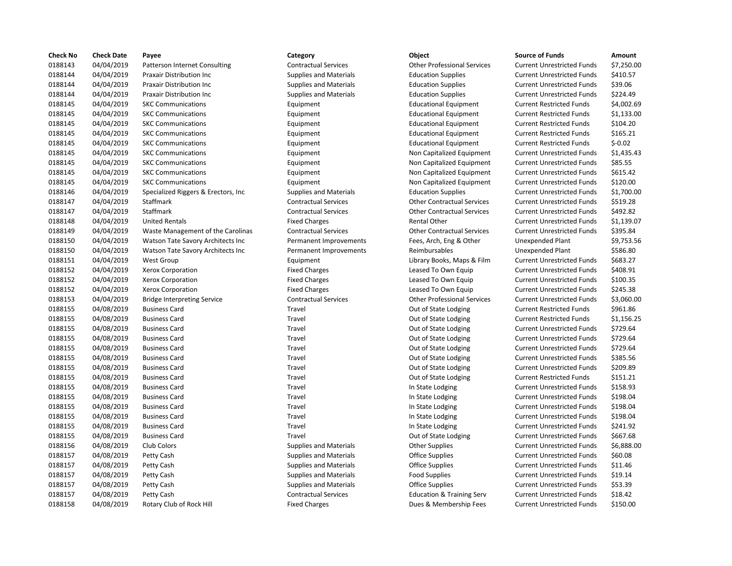| <b>Check No</b> | <b>Check Date</b> | Payee                                | Category                      | Object                               | <b>Source of Funds</b>            | Amount    |
|-----------------|-------------------|--------------------------------------|-------------------------------|--------------------------------------|-----------------------------------|-----------|
| 0188143         | 04/04/2019        | <b>Patterson Internet Consulting</b> | <b>Contractual Services</b>   | <b>Other Professional Services</b>   | <b>Current Unrestricted Funds</b> | \$7,250.0 |
| 0188144         | 04/04/2019        | Praxair Distribution Inc             | <b>Supplies and Materials</b> | <b>Education Supplies</b>            | <b>Current Unrestricted Funds</b> | \$410.57  |
| 0188144         | 04/04/2019        | <b>Praxair Distribution Inc</b>      | <b>Supplies and Materials</b> | <b>Education Supplies</b>            | <b>Current Unrestricted Funds</b> | \$39.06   |
| 0188144         | 04/04/2019        | <b>Praxair Distribution Inc</b>      | <b>Supplies and Materials</b> | <b>Education Supplies</b>            | <b>Current Unrestricted Funds</b> | \$224.49  |
| 0188145         | 04/04/2019        | <b>SKC Communications</b>            | Equipment                     | <b>Educational Equipment</b>         | <b>Current Restricted Funds</b>   | \$4,002.6 |
| 0188145         | 04/04/2019        | <b>SKC Communications</b>            | Equipment                     | <b>Educational Equipment</b>         | <b>Current Restricted Funds</b>   | \$1,133.0 |
| 0188145         | 04/04/2019        | <b>SKC Communications</b>            | Equipment                     | <b>Educational Equipment</b>         | <b>Current Restricted Funds</b>   | \$104.20  |
| 0188145         | 04/04/2019        | <b>SKC Communications</b>            | Equipment                     | <b>Educational Equipment</b>         | <b>Current Restricted Funds</b>   | \$165.21  |
| 0188145         | 04/04/2019        | <b>SKC Communications</b>            | Equipment                     | <b>Educational Equipment</b>         | <b>Current Restricted Funds</b>   | $$-0.02$  |
| 0188145         | 04/04/2019        | <b>SKC Communications</b>            | Equipment                     | Non Capitalized Equipment            | <b>Current Unrestricted Funds</b> | \$1,435.4 |
| 0188145         | 04/04/2019        | <b>SKC Communications</b>            | Equipment                     | Non Capitalized Equipment            | <b>Current Unrestricted Funds</b> | \$85.55   |
| 0188145         | 04/04/2019        | <b>SKC Communications</b>            | Equipment                     | Non Capitalized Equipment            | <b>Current Unrestricted Funds</b> | \$615.42  |
| 0188145         | 04/04/2019        | <b>SKC Communications</b>            | Equipment                     | Non Capitalized Equipment            | <b>Current Unrestricted Funds</b> | \$120.00  |
| 0188146         | 04/04/2019        | Specialized Riggers & Erectors, Inc. | <b>Supplies and Materials</b> | <b>Education Supplies</b>            | <b>Current Unrestricted Funds</b> | \$1,700.0 |
| 0188147         | 04/04/2019        | Staffmark                            | <b>Contractual Services</b>   | <b>Other Contractual Services</b>    | <b>Current Unrestricted Funds</b> | \$519.28  |
| 0188147         | 04/04/2019        | <b>Staffmark</b>                     | <b>Contractual Services</b>   | <b>Other Contractual Services</b>    | <b>Current Unrestricted Funds</b> | \$492.82  |
| 0188148         | 04/04/2019        | <b>United Rentals</b>                | <b>Fixed Charges</b>          | <b>Rental Other</b>                  | <b>Current Unrestricted Funds</b> | \$1,139.0 |
| 0188149         | 04/04/2019        | Waste Management of the Carolinas    | <b>Contractual Services</b>   | <b>Other Contractual Services</b>    | <b>Current Unrestricted Funds</b> | \$395.84  |
| 0188150         | 04/04/2019        | Watson Tate Savory Architects Inc    | Permanent Improvements        | Fees, Arch, Eng & Other              | Unexpended Plant                  | \$9,753.5 |
| 0188150         | 04/04/2019        | Watson Tate Savory Architects Inc    | Permanent Improvements        | Reimbursables                        | Unexpended Plant                  | \$586.80  |
| 0188151         | 04/04/2019        | <b>West Group</b>                    | Equipment                     | Library Books, Maps & Film           | <b>Current Unrestricted Funds</b> | \$683.27  |
| 0188152         | 04/04/2019        | Xerox Corporation                    | <b>Fixed Charges</b>          | Leased To Own Equip                  | <b>Current Unrestricted Funds</b> | \$408.91  |
| 0188152         | 04/04/2019        | Xerox Corporation                    | <b>Fixed Charges</b>          | Leased To Own Equip                  | <b>Current Unrestricted Funds</b> | \$100.35  |
| 0188152         | 04/04/2019        | <b>Xerox Corporation</b>             | <b>Fixed Charges</b>          | Leased To Own Equip                  | <b>Current Unrestricted Funds</b> | \$245.38  |
| 0188153         | 04/04/2019        | <b>Bridge Interpreting Service</b>   | <b>Contractual Services</b>   | <b>Other Professional Services</b>   | <b>Current Unrestricted Funds</b> | \$3,060.0 |
| 0188155         | 04/08/2019        | <b>Business Card</b>                 | Travel                        | Out of State Lodging                 | <b>Current Restricted Funds</b>   | \$961.86  |
| 0188155         | 04/08/2019        | <b>Business Card</b>                 | Travel                        | Out of State Lodging                 | <b>Current Restricted Funds</b>   | \$1,156.2 |
| 0188155         | 04/08/2019        | <b>Business Card</b>                 | Travel                        | Out of State Lodging                 | <b>Current Unrestricted Funds</b> | \$729.64  |
| 0188155         | 04/08/2019        | <b>Business Card</b>                 | Travel                        | Out of State Lodging                 | <b>Current Unrestricted Funds</b> | \$729.64  |
| 0188155         | 04/08/2019        | <b>Business Card</b>                 | Travel                        | Out of State Lodging                 | <b>Current Unrestricted Funds</b> | \$729.64  |
| 0188155         | 04/08/2019        | <b>Business Card</b>                 | Travel                        | Out of State Lodging                 | <b>Current Unrestricted Funds</b> | \$385.56  |
| 0188155         | 04/08/2019        | <b>Business Card</b>                 | Travel                        | Out of State Lodging                 | <b>Current Unrestricted Funds</b> | \$209.89  |
| 0188155         | 04/08/2019        | <b>Business Card</b>                 | Travel                        | Out of State Lodging                 | <b>Current Restricted Funds</b>   | \$151.21  |
| 0188155         | 04/08/2019        | <b>Business Card</b>                 | Travel                        | In State Lodging                     | <b>Current Unrestricted Funds</b> | \$158.93  |
| 0188155         | 04/08/2019        | <b>Business Card</b>                 | Travel                        | In State Lodging                     | <b>Current Unrestricted Funds</b> | \$198.04  |
| 0188155         | 04/08/2019        | <b>Business Card</b>                 | Travel                        | In State Lodging                     | <b>Current Unrestricted Funds</b> | \$198.04  |
| 0188155         | 04/08/2019        | <b>Business Card</b>                 | Travel                        | In State Lodging                     | <b>Current Unrestricted Funds</b> | \$198.04  |
| 0188155         | 04/08/2019        | <b>Business Card</b>                 | Travel                        | In State Lodging                     | <b>Current Unrestricted Funds</b> | \$241.92  |
| 0188155         | 04/08/2019        | <b>Business Card</b>                 | Travel                        | Out of State Lodging                 | <b>Current Unrestricted Funds</b> | \$667.68  |
| 0188156         | 04/08/2019        | Club Colors                          | <b>Supplies and Materials</b> | <b>Other Supplies</b>                | <b>Current Unrestricted Funds</b> | \$6,888.0 |
| 0188157         | 04/08/2019        | Petty Cash                           | <b>Supplies and Materials</b> | <b>Office Supplies</b>               | <b>Current Unrestricted Funds</b> | \$60.08   |
| 0188157         | 04/08/2019        | Petty Cash                           | <b>Supplies and Materials</b> | <b>Office Supplies</b>               | <b>Current Unrestricted Funds</b> | \$11.46   |
| 0188157         | 04/08/2019        | Petty Cash                           | <b>Supplies and Materials</b> | <b>Food Supplies</b>                 | <b>Current Unrestricted Funds</b> | \$19.14   |
| 0188157         | 04/08/2019        | Petty Cash                           | <b>Supplies and Materials</b> | <b>Office Supplies</b>               | <b>Current Unrestricted Funds</b> | \$53.39   |
| 0188157         | 04/08/2019        | Petty Cash                           | <b>Contractual Services</b>   | <b>Education &amp; Training Serv</b> | <b>Current Unrestricted Funds</b> | \$18.42   |
| 0188158         | 04/08/2019        | <b>Rotary Club of Rock Hill</b>      | <b>Fixed Charges</b>          | Dues & Membership Fees               | <b>Current Unrestricted Funds</b> | \$150.00  |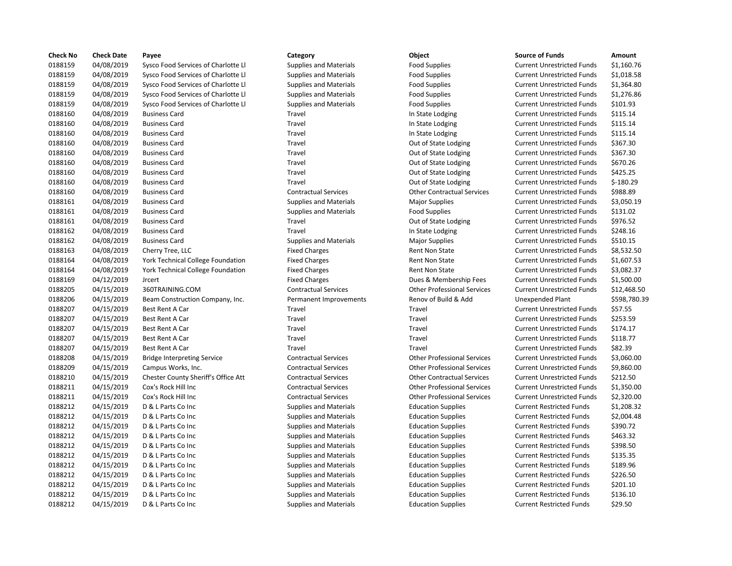| <b>Check No</b> | <b>Check Date</b> | Payee                                    | Category                      | Object                             | <b>Source of Funds</b>            | Amount     |
|-----------------|-------------------|------------------------------------------|-------------------------------|------------------------------------|-----------------------------------|------------|
| 0188159         | 04/08/2019        | Sysco Food Services of Charlotte Ll      | <b>Supplies and Materials</b> | <b>Food Supplies</b>               | <b>Current Unrestricted Funds</b> | \$1,160.76 |
| 0188159         | 04/08/2019        | Sysco Food Services of Charlotte Ll      | <b>Supplies and Materials</b> | <b>Food Supplies</b>               | <b>Current Unrestricted Funds</b> | \$1,018.58 |
| 0188159         | 04/08/2019        | Sysco Food Services of Charlotte Ll      | <b>Supplies and Materials</b> | <b>Food Supplies</b>               | <b>Current Unrestricted Funds</b> | \$1,364.80 |
| 0188159         | 04/08/2019        | Sysco Food Services of Charlotte Ll      | <b>Supplies and Materials</b> | <b>Food Supplies</b>               | <b>Current Unrestricted Funds</b> | \$1,276.86 |
| 0188159         | 04/08/2019        | Sysco Food Services of Charlotte Ll      | <b>Supplies and Materials</b> | <b>Food Supplies</b>               | <b>Current Unrestricted Funds</b> | \$101.93   |
| 0188160         | 04/08/2019        | <b>Business Card</b>                     | Travel                        | In State Lodging                   | <b>Current Unrestricted Funds</b> | \$115.14   |
| 0188160         | 04/08/2019        | <b>Business Card</b>                     | Travel                        | In State Lodging                   | <b>Current Unrestricted Funds</b> | \$115.14   |
| 0188160         | 04/08/2019        | <b>Business Card</b>                     | Travel                        | In State Lodging                   | <b>Current Unrestricted Funds</b> | \$115.14   |
| 0188160         | 04/08/2019        | <b>Business Card</b>                     | Travel                        | Out of State Lodging               | <b>Current Unrestricted Funds</b> | \$367.30   |
| 0188160         | 04/08/2019        | <b>Business Card</b>                     | Travel                        | Out of State Lodging               | <b>Current Unrestricted Funds</b> | \$367.30   |
| 0188160         | 04/08/2019        | <b>Business Card</b>                     | Travel                        | Out of State Lodging               | <b>Current Unrestricted Funds</b> | \$670.26   |
| 0188160         | 04/08/2019        | <b>Business Card</b>                     | Travel                        | Out of State Lodging               | <b>Current Unrestricted Funds</b> | \$425.25   |
| 0188160         | 04/08/2019        | <b>Business Card</b>                     | Travel                        | Out of State Lodging               | <b>Current Unrestricted Funds</b> | $$-180.29$ |
| 0188160         | 04/08/2019        | <b>Business Card</b>                     | <b>Contractual Services</b>   | <b>Other Contractual Services</b>  | <b>Current Unrestricted Funds</b> | \$988.89   |
| 0188161         | 04/08/2019        | <b>Business Card</b>                     | <b>Supplies and Materials</b> | <b>Major Supplies</b>              | <b>Current Unrestricted Funds</b> | \$3,050.19 |
| 0188161         | 04/08/2019        | <b>Business Card</b>                     | <b>Supplies and Materials</b> | <b>Food Supplies</b>               | <b>Current Unrestricted Funds</b> | \$131.02   |
| 0188161         | 04/08/2019        | <b>Business Card</b>                     | Travel                        | Out of State Lodging               | <b>Current Unrestricted Funds</b> | \$976.52   |
| 0188162         | 04/08/2019        | <b>Business Card</b>                     | Travel                        | In State Lodging                   | <b>Current Unrestricted Funds</b> | \$248.16   |
| 0188162         | 04/08/2019        | <b>Business Card</b>                     | <b>Supplies and Materials</b> | <b>Major Supplies</b>              | <b>Current Unrestricted Funds</b> | \$510.15   |
| 0188163         | 04/08/2019        | Cherry Tree, LLC                         | <b>Fixed Charges</b>          | Rent Non State                     | <b>Current Unrestricted Funds</b> | \$8,532.50 |
| 0188164         | 04/08/2019        | York Technical College Foundation        | <b>Fixed Charges</b>          | <b>Rent Non State</b>              | <b>Current Unrestricted Funds</b> | \$1,607.53 |
| 0188164         | 04/08/2019        | <b>York Technical College Foundation</b> | <b>Fixed Charges</b>          | <b>Rent Non State</b>              | <b>Current Unrestricted Funds</b> | \$3,082.37 |
| 0188169         | 04/12/2019        | <b>Jrcert</b>                            | <b>Fixed Charges</b>          | Dues & Membership Fees             | <b>Current Unrestricted Funds</b> | \$1,500.00 |
| 0188205         | 04/15/2019        | 360TRAINING.COM                          | <b>Contractual Services</b>   | <b>Other Professional Services</b> | <b>Current Unrestricted Funds</b> | \$12,468.5 |
| 0188206         | 04/15/2019        | Beam Construction Company, Inc.          | Permanent Improvements        | Renov of Build & Add               | Unexpended Plant                  | \$598,780. |
| 0188207         | 04/15/2019        | Best Rent A Car                          | Travel                        | Travel                             | <b>Current Unrestricted Funds</b> | \$57.55    |
| 0188207         | 04/15/2019        | Best Rent A Car                          | Travel                        | Travel                             | <b>Current Unrestricted Funds</b> | \$253.59   |
| 0188207         | 04/15/2019        | Best Rent A Car                          | Travel                        | Travel                             | <b>Current Unrestricted Funds</b> | \$174.17   |
| 0188207         | 04/15/2019        | Best Rent A Car                          | Travel                        | Travel                             | <b>Current Unrestricted Funds</b> | \$118.77   |
| 0188207         | 04/15/2019        | Best Rent A Car                          | Travel                        | Travel                             | <b>Current Unrestricted Funds</b> | \$82.39    |
| 0188208         | 04/15/2019        | <b>Bridge Interpreting Service</b>       | <b>Contractual Services</b>   | <b>Other Professional Services</b> | <b>Current Unrestricted Funds</b> | \$3,060.00 |
| 0188209         | 04/15/2019        | Campus Works, Inc.                       | <b>Contractual Services</b>   | <b>Other Professional Services</b> | <b>Current Unrestricted Funds</b> | \$9,860.00 |
| 0188210         | 04/15/2019        | Chester County Sheriff's Office Att      | <b>Contractual Services</b>   | <b>Other Contractual Services</b>  | <b>Current Unrestricted Funds</b> | \$212.50   |
| 0188211         | 04/15/2019        | Cox's Rock Hill Inc                      | <b>Contractual Services</b>   | <b>Other Professional Services</b> | <b>Current Unrestricted Funds</b> | \$1,350.00 |
| 0188211         | 04/15/2019        | Cox's Rock Hill Inc                      | <b>Contractual Services</b>   | <b>Other Professional Services</b> | <b>Current Unrestricted Funds</b> | \$2,320.00 |
| 0188212         | 04/15/2019        | D & L Parts Co Inc                       | <b>Supplies and Materials</b> | <b>Education Supplies</b>          | <b>Current Restricted Funds</b>   | \$1,208.32 |
| 0188212         | 04/15/2019        | D & L Parts Co Inc                       | <b>Supplies and Materials</b> | <b>Education Supplies</b>          | <b>Current Restricted Funds</b>   | \$2,004.48 |
| 0188212         | 04/15/2019        | D & L Parts Co Inc                       | <b>Supplies and Materials</b> | <b>Education Supplies</b>          | <b>Current Restricted Funds</b>   | \$390.72   |
| 0188212         | 04/15/2019        | D & L Parts Co Inc                       | <b>Supplies and Materials</b> | <b>Education Supplies</b>          | <b>Current Restricted Funds</b>   | \$463.32   |
| 0188212         | 04/15/2019        | D & L Parts Co Inc                       | <b>Supplies and Materials</b> | <b>Education Supplies</b>          | <b>Current Restricted Funds</b>   | \$398.50   |
| 0188212         | 04/15/2019        | D & L Parts Co Inc                       | <b>Supplies and Materials</b> | <b>Education Supplies</b>          | <b>Current Restricted Funds</b>   | \$135.35   |
| 0188212         | 04/15/2019        | D & L Parts Co Inc                       | <b>Supplies and Materials</b> | <b>Education Supplies</b>          | <b>Current Restricted Funds</b>   | \$189.96   |
| 0188212         | 04/15/2019        | D & L Parts Co Inc                       | <b>Supplies and Materials</b> | <b>Education Supplies</b>          | <b>Current Restricted Funds</b>   | \$226.50   |
| 0188212         | 04/15/2019        | D & L Parts Co Inc                       | <b>Supplies and Materials</b> | <b>Education Supplies</b>          | <b>Current Restricted Funds</b>   | \$201.10   |
| 0188212         | 04/15/2019        | D & L Parts Co Inc                       | <b>Supplies and Materials</b> | <b>Education Supplies</b>          | <b>Current Restricted Funds</b>   | \$136.10   |
| 0188212         | 04/15/2019        | D & L Parts Co Inc.                      | <b>Supplies and Materials</b> | <b>Education Supplies</b>          | <b>Current Restricted Funds</b>   | \$29.50    |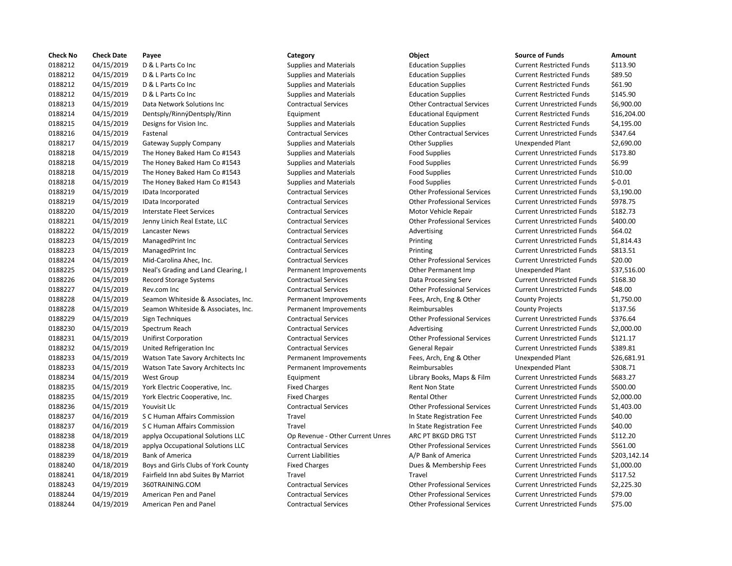| <b>Check No</b> | <b>Check Date</b> | Payee                               | Category                         | Object                             | <b>Source of Funds</b>            | Amount     |
|-----------------|-------------------|-------------------------------------|----------------------------------|------------------------------------|-----------------------------------|------------|
| 0188212         | 04/15/2019        | D & L Parts Co Inc                  | <b>Supplies and Materials</b>    | <b>Education Supplies</b>          | <b>Current Restricted Funds</b>   | \$113.90   |
| 0188212         | 04/15/2019        | D & L Parts Co Inc                  | <b>Supplies and Materials</b>    | <b>Education Supplies</b>          | <b>Current Restricted Funds</b>   | \$89.50    |
| 0188212         | 04/15/2019        | D & L Parts Co Inc                  | <b>Supplies and Materials</b>    | <b>Education Supplies</b>          | <b>Current Restricted Funds</b>   | \$61.90    |
| 0188212         | 04/15/2019        | D & L Parts Co Inc                  | <b>Supplies and Materials</b>    | <b>Education Supplies</b>          | <b>Current Restricted Funds</b>   | \$145.90   |
| 0188213         | 04/15/2019        | Data Network Solutions Inc          | <b>Contractual Services</b>      | <b>Other Contractual Services</b>  | <b>Current Unrestricted Funds</b> | \$6,900.00 |
| 0188214         | 04/15/2019        | Dentsply/RinnýDentsply/Rinn         | Equipment                        | <b>Educational Equipment</b>       | <b>Current Restricted Funds</b>   | \$16,204.0 |
| 0188215         | 04/15/2019        | Designs for Vision Inc.             | <b>Supplies and Materials</b>    | <b>Education Supplies</b>          | <b>Current Restricted Funds</b>   | \$4,195.00 |
| 0188216         | 04/15/2019        | Fastenal                            | <b>Contractual Services</b>      | <b>Other Contractual Services</b>  | <b>Current Unrestricted Funds</b> | \$347.64   |
| 0188217         | 04/15/2019        | <b>Gateway Supply Company</b>       | <b>Supplies and Materials</b>    | <b>Other Supplies</b>              | <b>Unexpended Plant</b>           | \$2,690.00 |
| 0188218         | 04/15/2019        | The Honey Baked Ham Co #1543        | <b>Supplies and Materials</b>    | <b>Food Supplies</b>               | <b>Current Unrestricted Funds</b> | \$173.80   |
| 0188218         | 04/15/2019        | The Honey Baked Ham Co #1543        | <b>Supplies and Materials</b>    | <b>Food Supplies</b>               | <b>Current Unrestricted Funds</b> | \$6.99     |
| 0188218         | 04/15/2019        | The Honey Baked Ham Co #1543        | <b>Supplies and Materials</b>    | <b>Food Supplies</b>               | <b>Current Unrestricted Funds</b> | \$10.00    |
| 0188218         | 04/15/2019        | The Honey Baked Ham Co #1543        | <b>Supplies and Materials</b>    | <b>Food Supplies</b>               | <b>Current Unrestricted Funds</b> | $$-0.01$   |
| 0188219         | 04/15/2019        | IData Incorporated                  | <b>Contractual Services</b>      | <b>Other Professional Services</b> | <b>Current Unrestricted Funds</b> | \$3,190.00 |
| 0188219         | 04/15/2019        | IData Incorporated                  | <b>Contractual Services</b>      | <b>Other Professional Services</b> | <b>Current Unrestricted Funds</b> | \$978.75   |
| 0188220         | 04/15/2019        | <b>Interstate Fleet Services</b>    | <b>Contractual Services</b>      | Motor Vehicle Repair               | <b>Current Unrestricted Funds</b> | \$182.73   |
| 0188221         | 04/15/2019        | Jenny Linich Real Estate, LLC       | <b>Contractual Services</b>      | <b>Other Professional Services</b> | <b>Current Unrestricted Funds</b> | \$400.00   |
| 0188222         | 04/15/2019        | Lancaster News                      | <b>Contractual Services</b>      | Advertising                        | <b>Current Unrestricted Funds</b> | \$64.02    |
| 0188223         | 04/15/2019        | ManagedPrint Inc                    | <b>Contractual Services</b>      | Printing                           | <b>Current Unrestricted Funds</b> | \$1,814.43 |
| 0188223         | 04/15/2019        | ManagedPrint Inc                    | <b>Contractual Services</b>      | Printing                           | <b>Current Unrestricted Funds</b> | \$813.51   |
| 0188224         | 04/15/2019        | Mid-Carolina Ahec, Inc.             | <b>Contractual Services</b>      | <b>Other Professional Services</b> | <b>Current Unrestricted Funds</b> | \$20.00    |
| 0188225         | 04/15/2019        | Neal's Grading and Land Clearing, I | Permanent Improvements           | Other Permanent Imp                | Unexpended Plant                  | \$37,516.0 |
| 0188226         | 04/15/2019        | <b>Record Storage Systems</b>       | <b>Contractual Services</b>      | Data Processing Serv               | <b>Current Unrestricted Funds</b> | \$168.30   |
| 0188227         | 04/15/2019        | Rev.com Inc                         | <b>Contractual Services</b>      | <b>Other Professional Services</b> | <b>Current Unrestricted Funds</b> | \$48.00    |
| 0188228         | 04/15/2019        | Seamon Whiteside & Associates, Inc. | Permanent Improvements           | Fees, Arch, Eng & Other            | <b>County Projects</b>            | \$1,750.00 |
| 0188228         | 04/15/2019        | Seamon Whiteside & Associates, Inc. | Permanent Improvements           | Reimbursables                      | <b>County Projects</b>            | \$137.56   |
| 0188229         | 04/15/2019        | Sign Techniques                     | <b>Contractual Services</b>      | <b>Other Professional Services</b> | <b>Current Unrestricted Funds</b> | \$376.64   |
| 0188230         | 04/15/2019        | Spectrum Reach                      | <b>Contractual Services</b>      | Advertising                        | <b>Current Unrestricted Funds</b> | \$2,000.00 |
| 0188231         | 04/15/2019        | <b>Unifirst Corporation</b>         | <b>Contractual Services</b>      | <b>Other Professional Services</b> | <b>Current Unrestricted Funds</b> | \$121.17   |
| 0188232         | 04/15/2019        | United Refrigeration Inc            | <b>Contractual Services</b>      | General Repair                     | <b>Current Unrestricted Funds</b> | \$389.81   |
| 0188233         | 04/15/2019        | Watson Tate Savory Architects Inc   | Permanent Improvements           | Fees, Arch, Eng & Other            | Unexpended Plant                  | \$26,681.9 |
| 0188233         | 04/15/2019        | Watson Tate Savory Architects Inc   | Permanent Improvements           | Reimbursables                      | Unexpended Plant                  | \$308.71   |
| 0188234         | 04/15/2019        | <b>West Group</b>                   | Equipment                        | Library Books, Maps & Film         | <b>Current Unrestricted Funds</b> | \$683.27   |
| 0188235         | 04/15/2019        | York Electric Cooperative, Inc.     | <b>Fixed Charges</b>             | <b>Rent Non State</b>              | <b>Current Unrestricted Funds</b> | \$500.00   |
| 0188235         | 04/15/2019        | York Electric Cooperative, Inc.     | <b>Fixed Charges</b>             | <b>Rental Other</b>                | <b>Current Unrestricted Funds</b> | \$2,000.00 |
| 0188236         | 04/15/2019        | Youvisit Llc                        | <b>Contractual Services</b>      | <b>Other Professional Services</b> | <b>Current Unrestricted Funds</b> | \$1,403.00 |
| 0188237         | 04/16/2019        | S C Human Affairs Commission        | Travel                           | In State Registration Fee          | <b>Current Unrestricted Funds</b> | \$40.00    |
| 0188237         | 04/16/2019        | S C Human Affairs Commission        | Travel                           | In State Registration Fee          | <b>Current Unrestricted Funds</b> | \$40.00    |
| 0188238         | 04/18/2019        | applya Occupational Solutions LLC   | Op Revenue - Other Current Unres | ARC PT BKGD DRG TST                | <b>Current Unrestricted Funds</b> | \$112.20   |
| 0188238         | 04/18/2019        | applya Occupational Solutions LLC   | <b>Contractual Services</b>      | <b>Other Professional Services</b> | <b>Current Unrestricted Funds</b> | \$561.00   |
| 0188239         | 04/18/2019        | <b>Bank of America</b>              | <b>Current Liabilities</b>       | A/P Bank of America                | <b>Current Unrestricted Funds</b> | \$203,142. |
| 0188240         | 04/18/2019        | Boys and Girls Clubs of York County | <b>Fixed Charges</b>             | Dues & Membership Fees             | <b>Current Unrestricted Funds</b> | \$1,000.00 |
| 0188241         | 04/18/2019        | Fairfield Inn abd Suites By Marriot | Travel                           | Travel                             | <b>Current Unrestricted Funds</b> | \$117.52   |
| 0188243         | 04/19/2019        | 360TRAINING.COM                     | <b>Contractual Services</b>      | <b>Other Professional Services</b> | <b>Current Unrestricted Funds</b> | \$2,225.30 |
| 0188244         | 04/19/2019        | American Pen and Panel              | <b>Contractual Services</b>      | <b>Other Professional Services</b> | <b>Current Unrestricted Funds</b> | \$79.00    |
| 0188244         | 04/19/2019        | American Pen and Panel              | <b>Contractual Services</b>      | <b>Other Professional Services</b> | <b>Current Unrestricted Funds</b> | \$75.00    |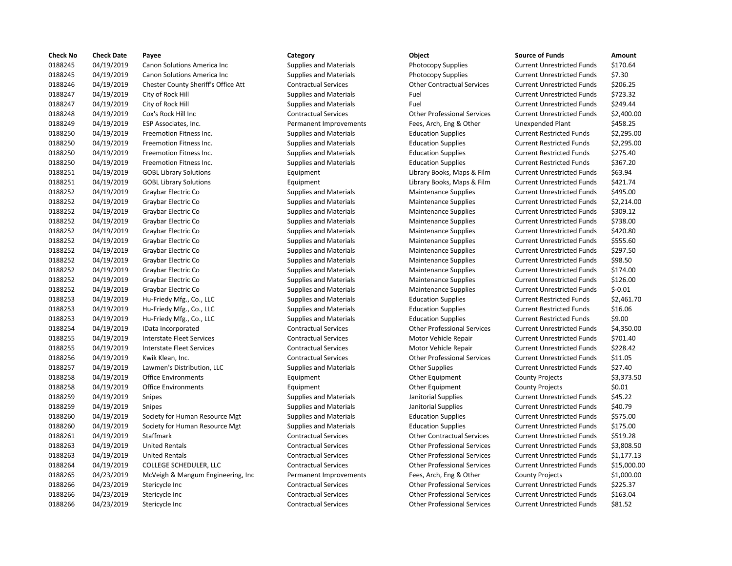| <b>Check No</b> | <b>Check Date</b> | Payee                               | Category                      | Object                             | <b>Source of Funds</b>            | Amount     |
|-----------------|-------------------|-------------------------------------|-------------------------------|------------------------------------|-----------------------------------|------------|
| 0188245         | 04/19/2019        | Canon Solutions America Inc         | <b>Supplies and Materials</b> | <b>Photocopy Supplies</b>          | <b>Current Unrestricted Funds</b> | \$170.64   |
| 0188245         | 04/19/2019        | Canon Solutions America Inc         | <b>Supplies and Materials</b> | <b>Photocopy Supplies</b>          | <b>Current Unrestricted Funds</b> | \$7.30     |
| 0188246         | 04/19/2019        | Chester County Sheriff's Office Att | <b>Contractual Services</b>   | <b>Other Contractual Services</b>  | <b>Current Unrestricted Funds</b> | \$206.25   |
| 0188247         | 04/19/2019        | City of Rock Hill                   | <b>Supplies and Materials</b> | Fuel                               | <b>Current Unrestricted Funds</b> | \$723.32   |
| 0188247         | 04/19/2019        | City of Rock Hill                   | <b>Supplies and Materials</b> | Fuel                               | <b>Current Unrestricted Funds</b> | \$249.44   |
| 0188248         | 04/19/2019        | Cox's Rock Hill Inc                 | <b>Contractual Services</b>   | <b>Other Professional Services</b> | <b>Current Unrestricted Funds</b> | \$2,400.00 |
| 0188249         | 04/19/2019        | ESP Associates, Inc.                | Permanent Improvements        | Fees, Arch, Eng & Other            | <b>Unexpended Plant</b>           | \$458.25   |
| 0188250         | 04/19/2019        | Freemotion Fitness Inc.             | <b>Supplies and Materials</b> | <b>Education Supplies</b>          | <b>Current Restricted Funds</b>   | \$2,295.00 |
| 0188250         | 04/19/2019        | Freemotion Fitness Inc.             | <b>Supplies and Materials</b> | <b>Education Supplies</b>          | <b>Current Restricted Funds</b>   | \$2,295.00 |
| 0188250         | 04/19/2019        | Freemotion Fitness Inc.             | <b>Supplies and Materials</b> | <b>Education Supplies</b>          | <b>Current Restricted Funds</b>   | \$275.40   |
| 0188250         | 04/19/2019        | Freemotion Fitness Inc.             | <b>Supplies and Materials</b> | <b>Education Supplies</b>          | <b>Current Restricted Funds</b>   | \$367.20   |
| 0188251         | 04/19/2019        | <b>GOBL Library Solutions</b>       | Equipment                     | Library Books, Maps & Film         | <b>Current Unrestricted Funds</b> | \$63.94    |
| 0188251         | 04/19/2019        | <b>GOBL Library Solutions</b>       | Equipment                     | Library Books, Maps & Film         | <b>Current Unrestricted Funds</b> | \$421.74   |
| 0188252         | 04/19/2019        | Graybar Electric Co                 | <b>Supplies and Materials</b> | <b>Maintenance Supplies</b>        | <b>Current Unrestricted Funds</b> | \$495.00   |
| 0188252         | 04/19/2019        | Graybar Electric Co                 | <b>Supplies and Materials</b> | <b>Maintenance Supplies</b>        | <b>Current Unrestricted Funds</b> | \$2,214.00 |
| 0188252         | 04/19/2019        | Graybar Electric Co                 | <b>Supplies and Materials</b> | Maintenance Supplies               | <b>Current Unrestricted Funds</b> | \$309.12   |
| 0188252         | 04/19/2019        | Graybar Electric Co                 | <b>Supplies and Materials</b> | <b>Maintenance Supplies</b>        | <b>Current Unrestricted Funds</b> | \$738.00   |
| 0188252         | 04/19/2019        | Graybar Electric Co                 | <b>Supplies and Materials</b> | <b>Maintenance Supplies</b>        | <b>Current Unrestricted Funds</b> | \$420.80   |
| 0188252         | 04/19/2019        | Graybar Electric Co                 | <b>Supplies and Materials</b> | <b>Maintenance Supplies</b>        | <b>Current Unrestricted Funds</b> | \$555.60   |
| 0188252         | 04/19/2019        | Graybar Electric Co                 | <b>Supplies and Materials</b> | <b>Maintenance Supplies</b>        | <b>Current Unrestricted Funds</b> | \$297.50   |
| 0188252         | 04/19/2019        | Graybar Electric Co                 | <b>Supplies and Materials</b> | Maintenance Supplies               | <b>Current Unrestricted Funds</b> | \$98.50    |
| 0188252         | 04/19/2019        | Graybar Electric Co                 | <b>Supplies and Materials</b> | <b>Maintenance Supplies</b>        | <b>Current Unrestricted Funds</b> | \$174.00   |
| 0188252         | 04/19/2019        | Graybar Electric Co                 | <b>Supplies and Materials</b> | <b>Maintenance Supplies</b>        | <b>Current Unrestricted Funds</b> | \$126.00   |
| 0188252         | 04/19/2019        | Graybar Electric Co                 | <b>Supplies and Materials</b> | <b>Maintenance Supplies</b>        | <b>Current Unrestricted Funds</b> | $$-0.01$   |
| 0188253         | 04/19/2019        | Hu-Friedy Mfg., Co., LLC            | <b>Supplies and Materials</b> | <b>Education Supplies</b>          | <b>Current Restricted Funds</b>   | \$2,461.70 |
| 0188253         | 04/19/2019        | Hu-Friedy Mfg., Co., LLC            | <b>Supplies and Materials</b> | <b>Education Supplies</b>          | <b>Current Restricted Funds</b>   | \$16.06    |
| 0188253         | 04/19/2019        | Hu-Friedy Mfg., Co., LLC            | <b>Supplies and Materials</b> | <b>Education Supplies</b>          | <b>Current Restricted Funds</b>   | \$9.00     |
| 0188254         | 04/19/2019        | IData Incorporated                  | <b>Contractual Services</b>   | <b>Other Professional Services</b> | <b>Current Unrestricted Funds</b> | \$4,350.00 |
| 0188255         | 04/19/2019        | <b>Interstate Fleet Services</b>    | <b>Contractual Services</b>   | Motor Vehicle Repair               | <b>Current Unrestricted Funds</b> | \$701.40   |
| 0188255         | 04/19/2019        | <b>Interstate Fleet Services</b>    | <b>Contractual Services</b>   | Motor Vehicle Repair               | <b>Current Unrestricted Funds</b> | \$228.42   |
| 0188256         | 04/19/2019        | Kwik Klean, Inc.                    | <b>Contractual Services</b>   | <b>Other Professional Services</b> | <b>Current Unrestricted Funds</b> | \$11.05    |
| 0188257         | 04/19/2019        | Lawmen's Distribution, LLC          | <b>Supplies and Materials</b> | <b>Other Supplies</b>              | <b>Current Unrestricted Funds</b> | \$27.40    |
| 0188258         | 04/19/2019        | <b>Office Environments</b>          | Equipment                     | Other Equipment                    | <b>County Projects</b>            | \$3,373.50 |
| 0188258         | 04/19/2019        | <b>Office Environments</b>          | Equipment                     | Other Equipment                    | <b>County Projects</b>            | \$0.01     |
| 0188259         | 04/19/2019        | Snipes                              | <b>Supplies and Materials</b> | Janitorial Supplies                | <b>Current Unrestricted Funds</b> | \$45.22    |
| 0188259         | 04/19/2019        | <b>Snipes</b>                       | <b>Supplies and Materials</b> | Janitorial Supplies                | <b>Current Unrestricted Funds</b> | \$40.79    |
| 0188260         | 04/19/2019        | Society for Human Resource Mgt      | <b>Supplies and Materials</b> | <b>Education Supplies</b>          | <b>Current Unrestricted Funds</b> | \$575.00   |
| 0188260         | 04/19/2019        | Society for Human Resource Mgt      | <b>Supplies and Materials</b> | <b>Education Supplies</b>          | <b>Current Unrestricted Funds</b> | \$175.00   |
| 0188261         | 04/19/2019        | Staffmark                           | <b>Contractual Services</b>   | <b>Other Contractual Services</b>  | <b>Current Unrestricted Funds</b> | \$519.28   |
| 0188263         | 04/19/2019        | <b>United Rentals</b>               | <b>Contractual Services</b>   | <b>Other Professional Services</b> | <b>Current Unrestricted Funds</b> | \$3,808.50 |
| 0188263         | 04/19/2019        | <b>United Rentals</b>               | <b>Contractual Services</b>   | <b>Other Professional Services</b> | <b>Current Unrestricted Funds</b> | \$1,177.13 |
| 0188264         | 04/19/2019        | COLLEGE SCHEDULER, LLC              | <b>Contractual Services</b>   | <b>Other Professional Services</b> | <b>Current Unrestricted Funds</b> | \$15,000.0 |
| 0188265         | 04/23/2019        | McVeigh & Mangum Engineering, Inc   | Permanent Improvements        | Fees, Arch, Eng & Other            | <b>County Projects</b>            | \$1,000.00 |
| 0188266         | 04/23/2019        | Stericycle Inc                      | <b>Contractual Services</b>   | <b>Other Professional Services</b> | <b>Current Unrestricted Funds</b> | \$225.37   |
| 0188266         | 04/23/2019        | Stericycle Inc                      | <b>Contractual Services</b>   | <b>Other Professional Services</b> | <b>Current Unrestricted Funds</b> | \$163.04   |
| 0188266         | 04/23/2019        | Stericycle Inc                      | <b>Contractual Services</b>   | <b>Other Professional Services</b> | <b>Current Unrestricted Funds</b> | \$81.52    |

# Supplies and Materials **Current Inc.** Current Unrestricted Funds 5170.64 Supplies and Materials **Canon State Inc.** Photocopy Supplies Current Unrestricted Funds \$7.30 Contractual Services **Contractual Sheriff's Contractual Services** Current Unrestricted Funds \$206.25 04/19/2019 City of Rock Hill Supplies and Materials Fuel Current Unrestricted Funds \$723.32 Supplies and Materials **1202 Current Unrestricted Funds** 5249.44 Contractual Services **Current Inc Contractual Services** Other Professional Services Current Unrestricted Funds \$2,400.00 Permanent Improvements Fees, Arch, Eng & Other Unexpended Plant \$458.25 04/19/2019 Freemotion Fitness Inc. Supplies and Materials Education Supplies Current Restricted Funds \$2,295.00 04/19/2019 Freemotion Fitness Inc. Supplies and Materials Education Supplies Current Restricted Funds \$2,295.00 04/19/2019 Freemotion Fitness Inc. Supplies and Materials Education Supplies Current Restricted Funds \$275.40 04/19/2019 Freemotion Fitness Inc. Supplies and Materials Education Supplies Current Restricted Funds \$367.20 04/19/2019 GOBL Library Solutions Equipment Library Books, Maps & Film Current Unrestricted Funds \$63.94 Equipment **12021 12019 Equipment** Library Books, Maps & Film Current Unrestricted Funds \$421.74 Supplies and Materials **Current Constructs Constructed Funds** 5495.00 04/19/2019 Graybar Electric Co Supplies and Materials Maintenance Supplies Current Unrestricted Funds \$2,214.00 04/19/2019 Graybar Electric Co Supplies and Materials Maintenance Supplies Current Unrestricted Funds \$309.12 04/19/2019 Graybar Electric Co Supplies and Materials Maintenance Supplies Current Unrestricted Funds \$738.00 04/19/2019 Graybar Electric Co Supplies and Materials Maintenance Supplies Current Unrestricted Funds \$420.80 04/19/2019 Graybar Electric Co Supplies and Materials Maintenance Supplies Current Unrestricted Funds \$555.60 04/19/2019 Graybar Electric Co Supplies and Materials Maintenance Supplies Current Unrestricted Funds \$297.50 04/19/2019 Graybar Electric Co Supplies and Materials Maintenance Supplies Current Unrestricted Funds \$98.50 04/19/2019 Graybar Electric Co Supplies and Materials Maintenance Supplies Current Unrestricted Funds \$174.00 04/19/2019 Graybar Electric Co Supplies and Materials Maintenance Supplies Current Unrestricted Funds \$126.00 04/19/2019 Graybar Electric Co Supplies and Materials Maintenance Supplies Current Unrestricted Funds \$-0.01 Supplies and Materials **Education Supplies Current Restricted Funds** \$16.06 04/19/2019 Hu-Friedy Mfg., Co., LLC Supplies and Materials Education Supplies Current Restricted Funds \$9.00 04/19/2019 IData Incorporated Contractual Services Other Professional Services Current Unrestricted Funds \$4,350.00 04/19/2019 Interstate Fleet Services Contractual Services Motor Vehicle Repair Current Unrestricted Funds \$701.40 04/19/2019 Interstate Fleet Services Contractual Services Motor Vehicle Repair Current Unrestricted Funds \$228.42 04/19/2019 Kwik Klean, Inc. Contractual Services Other Professional Services Current Unrestricted Funds \$11.05 Supplies and Materials **CULC SUPPLIES** Other Supplies **Current Unrestricted Funds** \$27.40 04/19/2019 Snipes Supplies and Materials Janitorial Supplies Current Unrestricted Funds \$45.22 04/19/2019 Snipes Supplies and Materials Janitorial Supplies Current Unrestricted Funds \$40.79 04/19/2019 Society for Human Resource Mgt Supplies and Materials Education Supplies Current Unrestricted Funds \$575.00 Supplies and Materials **Education Supplies Current Unrestricted Funds** \$175.00 04/19/2019 Staffmark Contractual Services Other Contractual Services Current Unrestricted Funds \$519.28 04/19/2019 United Rentals Contractual Services Other Professional Services Current Unrestricted Funds \$3,808.50 04/19/2019 United Rentals Contractual Services Other Professional Services Current Unrestricted Funds \$1,177.13 04/19/2019 COLLEGE SCHEDULER, LLC Contractual Services Other Professional Services Current Unrestricted Funds \$15,000.00 Permanent Improvements Fees, Arch, Eng & Other County Projects \$1,000.00 Contractual Services **Stephends** Other Professional Services Current Unrestricted Funds \$225.37 Contractual Services **Current Interior Contractual Services** Current Unrestricted Funds \$163.04 Contractual Services **Contractual Services** Other Professional Services Current Unrestricted Funds \$81.52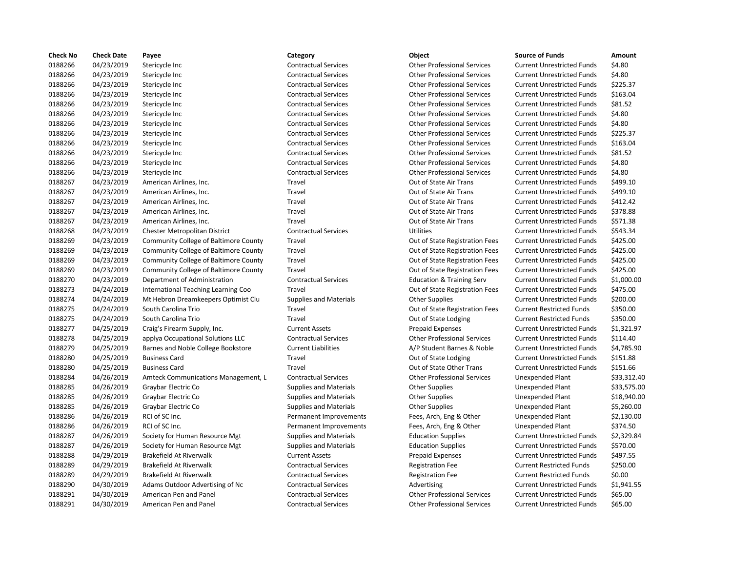| <b>Check No</b> | <b>Check Date</b> | Payee                                        | Category                      | <b>Object</b>                        | <b>Source of Funds</b>            | Amount      |
|-----------------|-------------------|----------------------------------------------|-------------------------------|--------------------------------------|-----------------------------------|-------------|
| 0188266         | 04/23/2019        | Stericycle Inc                               | <b>Contractual Services</b>   | <b>Other Professional Services</b>   | <b>Current Unrestricted Funds</b> | \$4.80      |
| 0188266         | 04/23/2019        | Stericycle Inc                               | <b>Contractual Services</b>   | <b>Other Professional Services</b>   | <b>Current Unrestricted Funds</b> | \$4.80      |
| 0188266         | 04/23/2019        | Stericycle Inc                               | <b>Contractual Services</b>   | <b>Other Professional Services</b>   | <b>Current Unrestricted Funds</b> | \$225.37    |
| 0188266         | 04/23/2019        | Stericycle Inc                               | <b>Contractual Services</b>   | <b>Other Professional Services</b>   | <b>Current Unrestricted Funds</b> | \$163.04    |
| 0188266         | 04/23/2019        | Stericycle Inc                               | <b>Contractual Services</b>   | <b>Other Professional Services</b>   | <b>Current Unrestricted Funds</b> | \$81.52     |
| 0188266         | 04/23/2019        | Stericycle Inc                               | <b>Contractual Services</b>   | <b>Other Professional Services</b>   | <b>Current Unrestricted Funds</b> | \$4.80      |
| 0188266         | 04/23/2019        | Stericycle Inc                               | <b>Contractual Services</b>   | <b>Other Professional Services</b>   | <b>Current Unrestricted Funds</b> | \$4.80      |
| 0188266         | 04/23/2019        | Stericycle Inc                               | <b>Contractual Services</b>   | <b>Other Professional Services</b>   | <b>Current Unrestricted Funds</b> | \$225.37    |
| 0188266         | 04/23/2019        | Stericycle Inc                               | <b>Contractual Services</b>   | <b>Other Professional Services</b>   | <b>Current Unrestricted Funds</b> | \$163.04    |
| 0188266         | 04/23/2019        | Stericycle Inc                               | <b>Contractual Services</b>   | <b>Other Professional Services</b>   | <b>Current Unrestricted Funds</b> | \$81.52     |
| 0188266         | 04/23/2019        | Stericycle Inc                               | <b>Contractual Services</b>   | <b>Other Professional Services</b>   | <b>Current Unrestricted Funds</b> | \$4.80      |
| 0188266         | 04/23/2019        | Stericycle Inc                               | <b>Contractual Services</b>   | <b>Other Professional Services</b>   | <b>Current Unrestricted Funds</b> | \$4.80      |
| 0188267         | 04/23/2019        | American Airlines, Inc.                      | Travel                        | Out of State Air Trans               | <b>Current Unrestricted Funds</b> | \$499.10    |
| 0188267         | 04/23/2019        | American Airlines, Inc.                      | Travel                        | Out of State Air Trans               | <b>Current Unrestricted Funds</b> | \$499.10    |
| 0188267         | 04/23/2019        | American Airlines, Inc.                      | Travel                        | Out of State Air Trans               | <b>Current Unrestricted Funds</b> | \$412.42    |
| 0188267         | 04/23/2019        | American Airlines, Inc.                      | Travel                        | Out of State Air Trans               | <b>Current Unrestricted Funds</b> | \$378.88    |
| 0188267         | 04/23/2019        | American Airlines, Inc.                      | Travel                        | Out of State Air Trans               | <b>Current Unrestricted Funds</b> | \$571.38    |
| 0188268         | 04/23/2019        | Chester Metropolitan District                | <b>Contractual Services</b>   | <b>Utilities</b>                     | <b>Current Unrestricted Funds</b> | \$543.34    |
| 0188269         | 04/23/2019        | <b>Community College of Baltimore County</b> | Travel                        | Out of State Registration Fees       | <b>Current Unrestricted Funds</b> | \$425.00    |
| 0188269         | 04/23/2019        | Community College of Baltimore County        | Travel                        | Out of State Registration Fees       | <b>Current Unrestricted Funds</b> | \$425.00    |
| 0188269         | 04/23/2019        | <b>Community College of Baltimore County</b> | Travel                        | Out of State Registration Fees       | <b>Current Unrestricted Funds</b> | \$425.00    |
| 0188269         | 04/23/2019        | Community College of Baltimore County        | Travel                        | Out of State Registration Fees       | <b>Current Unrestricted Funds</b> | \$425.00    |
| 0188270         | 04/23/2019        | Department of Administration                 | <b>Contractual Services</b>   | <b>Education &amp; Training Serv</b> | <b>Current Unrestricted Funds</b> | \$1,000.00  |
| 0188273         | 04/24/2019        | International Teaching Learning Coo          | Travel                        | Out of State Registration Fees       | <b>Current Unrestricted Funds</b> | \$475.00    |
| 0188274         | 04/24/2019        | Mt Hebron Dreamkeepers Optimist Clu          | <b>Supplies and Materials</b> | <b>Other Supplies</b>                | <b>Current Unrestricted Funds</b> | \$200.00    |
| 0188275         | 04/24/2019        | South Carolina Trio                          | Travel                        | Out of State Registration Fees       | <b>Current Restricted Funds</b>   | \$350.00    |
| 0188275         | 04/24/2019        | South Carolina Trio                          | Travel                        | Out of State Lodging                 | <b>Current Restricted Funds</b>   | \$350.00    |
| 0188277         | 04/25/2019        | Craig's Firearm Supply, Inc.                 | <b>Current Assets</b>         | <b>Prepaid Expenses</b>              | <b>Current Unrestricted Funds</b> | \$1,321.97  |
| 0188278         | 04/25/2019        | applya Occupational Solutions LLC            | <b>Contractual Services</b>   | <b>Other Professional Services</b>   | <b>Current Unrestricted Funds</b> | \$114.40    |
| 0188279         | 04/25/2019        | Barnes and Noble College Bookstore           | <b>Current Liabilities</b>    | A/P Student Barnes & Noble           | <b>Current Unrestricted Funds</b> | \$4,785.90  |
| 0188280         | 04/25/2019        | <b>Business Card</b>                         | Travel                        | Out of State Lodging                 | <b>Current Unrestricted Funds</b> | \$151.88    |
| 0188280         | 04/25/2019        | <b>Business Card</b>                         | Travel                        | Out of State Other Trans             | <b>Current Unrestricted Funds</b> | \$151.66    |
| 0188284         | 04/26/2019        | Amteck Communications Management, L          | <b>Contractual Services</b>   | <b>Other Professional Services</b>   | Unexpended Plant                  | \$33,312.40 |
| 0188285         | 04/26/2019        | Graybar Electric Co                          | <b>Supplies and Materials</b> | <b>Other Supplies</b>                | <b>Unexpended Plant</b>           | \$33,575.00 |
| 0188285         | 04/26/2019        | Graybar Electric Co                          | <b>Supplies and Materials</b> | <b>Other Supplies</b>                | <b>Unexpended Plant</b>           | \$18,940.00 |
| 0188285         | 04/26/2019        | Graybar Electric Co                          | <b>Supplies and Materials</b> | <b>Other Supplies</b>                | Unexpended Plant                  | \$5,260.00  |
| 0188286         | 04/26/2019        | RCI of SC Inc.                               | Permanent Improvements        | Fees, Arch, Eng & Other              | <b>Unexpended Plant</b>           | \$2,130.00  |
| 0188286         | 04/26/2019        | RCI of SC Inc.                               | Permanent Improvements        | Fees, Arch, Eng & Other              | Unexpended Plant                  | \$374.50    |
| 0188287         | 04/26/2019        | Society for Human Resource Mgt               | <b>Supplies and Materials</b> | <b>Education Supplies</b>            | <b>Current Unrestricted Funds</b> | \$2,329.84  |
| 0188287         | 04/26/2019        | Society for Human Resource Mgt               | <b>Supplies and Materials</b> | <b>Education Supplies</b>            | <b>Current Unrestricted Funds</b> | \$570.00    |
| 0188288         | 04/29/2019        | Brakefield At Riverwalk                      | <b>Current Assets</b>         | <b>Prepaid Expenses</b>              | <b>Current Unrestricted Funds</b> | \$497.55    |
| 0188289         | 04/29/2019        | Brakefield At Riverwalk                      | <b>Contractual Services</b>   | <b>Registration Fee</b>              | <b>Current Restricted Funds</b>   | \$250.00    |
| 0188289         | 04/29/2019        | Brakefield At Riverwalk                      | <b>Contractual Services</b>   | <b>Registration Fee</b>              | <b>Current Restricted Funds</b>   | \$0.00      |
| 0188290         | 04/30/2019        | Adams Outdoor Advertising of Nc              | <b>Contractual Services</b>   | Advertising                          | <b>Current Unrestricted Funds</b> | \$1,941.55  |
| 0188291         | 04/30/2019        | American Pen and Panel                       | <b>Contractual Services</b>   | <b>Other Professional Services</b>   | <b>Current Unrestricted Funds</b> | \$65.00     |
| 0188291         | 04/30/2019        | American Pen and Panel                       | <b>Contractual Services</b>   | <b>Other Professional Services</b>   | <b>Current Unrestricted Funds</b> | \$65.00     |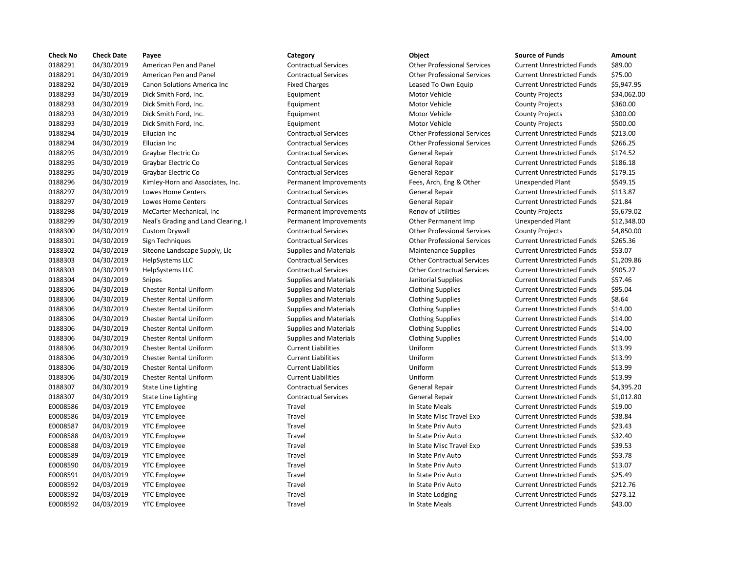| <b>Check No</b> | <b>Check Date</b> | Payee                               | Category                      | <b>Object</b>                      | <b>Source of Funds</b>            | Amount      |
|-----------------|-------------------|-------------------------------------|-------------------------------|------------------------------------|-----------------------------------|-------------|
| 0188291         | 04/30/2019        | American Pen and Panel              | <b>Contractual Services</b>   | <b>Other Professional Services</b> | <b>Current Unrestricted Funds</b> | \$89.00     |
| 0188291         | 04/30/2019        | American Pen and Panel              | <b>Contractual Services</b>   | <b>Other Professional Services</b> | <b>Current Unrestricted Funds</b> | \$75.00     |
| 0188292         | 04/30/2019        | <b>Canon Solutions America Inc.</b> | <b>Fixed Charges</b>          | Leased To Own Equip                | <b>Current Unrestricted Funds</b> | \$5,947.95  |
| 0188293         | 04/30/2019        | Dick Smith Ford, Inc.               | Equipment                     | Motor Vehicle                      | <b>County Projects</b>            | \$34,062.00 |
| 0188293         | 04/30/2019        | Dick Smith Ford, Inc.               | Equipment                     | Motor Vehicle                      | <b>County Projects</b>            | \$360.00    |
| 0188293         | 04/30/2019        | Dick Smith Ford, Inc.               | Equipment                     | Motor Vehicle                      | <b>County Projects</b>            | \$300.00    |
| 0188293         | 04/30/2019        | Dick Smith Ford, Inc.               | Equipment                     | Motor Vehicle                      | <b>County Projects</b>            | \$500.00    |
| 0188294         | 04/30/2019        | Ellucian Inc                        | <b>Contractual Services</b>   | <b>Other Professional Services</b> | <b>Current Unrestricted Funds</b> | \$213.00    |
| 0188294         | 04/30/2019        | Ellucian Inc                        | <b>Contractual Services</b>   | <b>Other Professional Services</b> | <b>Current Unrestricted Funds</b> | \$266.25    |
| 0188295         | 04/30/2019        | Graybar Electric Co                 | <b>Contractual Services</b>   | <b>General Repair</b>              | <b>Current Unrestricted Funds</b> | \$174.52    |
| 0188295         | 04/30/2019        | Graybar Electric Co                 | <b>Contractual Services</b>   | <b>General Repair</b>              | <b>Current Unrestricted Funds</b> | \$186.18    |
| 0188295         | 04/30/2019        | Graybar Electric Co                 | <b>Contractual Services</b>   | <b>General Repair</b>              | <b>Current Unrestricted Funds</b> | \$179.15    |
| 0188296         | 04/30/2019        | Kimley-Horn and Associates, Inc.    | Permanent Improvements        | Fees, Arch, Eng & Other            | <b>Unexpended Plant</b>           | \$549.15    |
| 0188297         | 04/30/2019        | Lowes Home Centers                  | <b>Contractual Services</b>   | <b>General Repair</b>              | <b>Current Unrestricted Funds</b> | \$113.87    |
| 0188297         | 04/30/2019        | Lowes Home Centers                  | <b>Contractual Services</b>   | General Repair                     | <b>Current Unrestricted Funds</b> | \$21.84     |
| 0188298         | 04/30/2019        | McCarter Mechanical, Inc            | Permanent Improvements        | Renov of Utilities                 | <b>County Projects</b>            | \$5,679.02  |
| 0188299         | 04/30/2019        | Neal's Grading and Land Clearing, I | Permanent Improvements        | Other Permanent Imp                | <b>Unexpended Plant</b>           | \$12,348.00 |
| 0188300         | 04/30/2019        | Custom Drywall                      | <b>Contractual Services</b>   | <b>Other Professional Services</b> | <b>County Projects</b>            | \$4,850.00  |
| 0188301         | 04/30/2019        | Sign Techniques                     | <b>Contractual Services</b>   | <b>Other Professional Services</b> | <b>Current Unrestricted Funds</b> | \$265.36    |
| 0188302         | 04/30/2019        | Siteone Landscape Supply, Llc       | <b>Supplies and Materials</b> | <b>Maintenance Supplies</b>        | <b>Current Unrestricted Funds</b> | \$53.07     |
| 0188303         | 04/30/2019        | HelpSystems LLC                     | <b>Contractual Services</b>   | <b>Other Contractual Services</b>  | <b>Current Unrestricted Funds</b> | \$1,209.86  |
| 0188303         | 04/30/2019        | HelpSystems LLC                     | <b>Contractual Services</b>   | <b>Other Contractual Services</b>  | <b>Current Unrestricted Funds</b> | \$905.27    |
| 0188304         | 04/30/2019        | Snipes                              | <b>Supplies and Materials</b> | Janitorial Supplies                | <b>Current Unrestricted Funds</b> | \$57.46     |
| 0188306         | 04/30/2019        | <b>Chester Rental Uniform</b>       | <b>Supplies and Materials</b> | <b>Clothing Supplies</b>           | <b>Current Unrestricted Funds</b> | \$95.04     |
| 0188306         | 04/30/2019        | <b>Chester Rental Uniform</b>       | <b>Supplies and Materials</b> | <b>Clothing Supplies</b>           | <b>Current Unrestricted Funds</b> | \$8.64      |
| 0188306         | 04/30/2019        | <b>Chester Rental Uniform</b>       | <b>Supplies and Materials</b> | <b>Clothing Supplies</b>           | <b>Current Unrestricted Funds</b> | \$14.00     |
| 0188306         | 04/30/2019        | <b>Chester Rental Uniform</b>       | <b>Supplies and Materials</b> | <b>Clothing Supplies</b>           | <b>Current Unrestricted Funds</b> | \$14.00     |
| 0188306         | 04/30/2019        | <b>Chester Rental Uniform</b>       | <b>Supplies and Materials</b> | <b>Clothing Supplies</b>           | <b>Current Unrestricted Funds</b> | \$14.00     |
| 0188306         | 04/30/2019        | <b>Chester Rental Uniform</b>       | <b>Supplies and Materials</b> | <b>Clothing Supplies</b>           | <b>Current Unrestricted Funds</b> | \$14.00     |
| 0188306         | 04/30/2019        | <b>Chester Rental Uniform</b>       | <b>Current Liabilities</b>    | Uniform                            | <b>Current Unrestricted Funds</b> | \$13.99     |
| 0188306         | 04/30/2019        | <b>Chester Rental Uniform</b>       | <b>Current Liabilities</b>    | Uniform                            | <b>Current Unrestricted Funds</b> | \$13.99     |
| 0188306         | 04/30/2019        | <b>Chester Rental Uniform</b>       | <b>Current Liabilities</b>    | Uniform                            | <b>Current Unrestricted Funds</b> | \$13.99     |
| 0188306         | 04/30/2019        | Chester Rental Uniform              | <b>Current Liabilities</b>    | Uniform                            | <b>Current Unrestricted Funds</b> | \$13.99     |
| 0188307         | 04/30/2019        | <b>State Line Lighting</b>          | <b>Contractual Services</b>   | General Repair                     | <b>Current Unrestricted Funds</b> | \$4,395.20  |
| 0188307         | 04/30/2019        | <b>State Line Lighting</b>          | <b>Contractual Services</b>   | <b>General Repair</b>              | <b>Current Unrestricted Funds</b> | \$1,012.80  |
| E0008586        | 04/03/2019        | <b>YTC Employee</b>                 | Travel                        | In State Meals                     | <b>Current Unrestricted Funds</b> | \$19.00     |
| E0008586        | 04/03/2019        | <b>YTC Employee</b>                 | Travel                        | In State Misc Travel Exp           | <b>Current Unrestricted Funds</b> | \$38.84     |
| E0008587        | 04/03/2019        | <b>YTC Employee</b>                 | Travel                        | In State Priv Auto                 | <b>Current Unrestricted Funds</b> | \$23.43     |
| E0008588        | 04/03/2019        | <b>YTC Employee</b>                 | Travel                        | In State Priv Auto                 | <b>Current Unrestricted Funds</b> | \$32.40     |
| E0008588        | 04/03/2019        | <b>YTC Employee</b>                 | Travel                        | In State Misc Travel Exp           | <b>Current Unrestricted Funds</b> | \$39.53     |
| E0008589        | 04/03/2019        | <b>YTC Employee</b>                 | Travel                        | In State Priv Auto                 | <b>Current Unrestricted Funds</b> | \$53.78     |
| E0008590        | 04/03/2019        | <b>YTC Employee</b>                 | Travel                        | In State Priv Auto                 | <b>Current Unrestricted Funds</b> | \$13.07     |
| E0008591        | 04/03/2019        | <b>YTC Employee</b>                 | Travel                        | In State Priv Auto                 | <b>Current Unrestricted Funds</b> | \$25.49     |
| E0008592        | 04/03/2019        | <b>YTC Employee</b>                 | Travel                        | In State Priv Auto                 | <b>Current Unrestricted Funds</b> | \$212.76    |
| E0008592        | 04/03/2019        | <b>YTC Employee</b>                 | Travel                        | In State Lodging                   | <b>Current Unrestricted Funds</b> | \$273.12    |
| E0008592        | 04/03/2019        | <b>YTC Employee</b>                 | Travel                        | In State Meals                     | <b>Current Unrestricted Funds</b> | \$43.00     |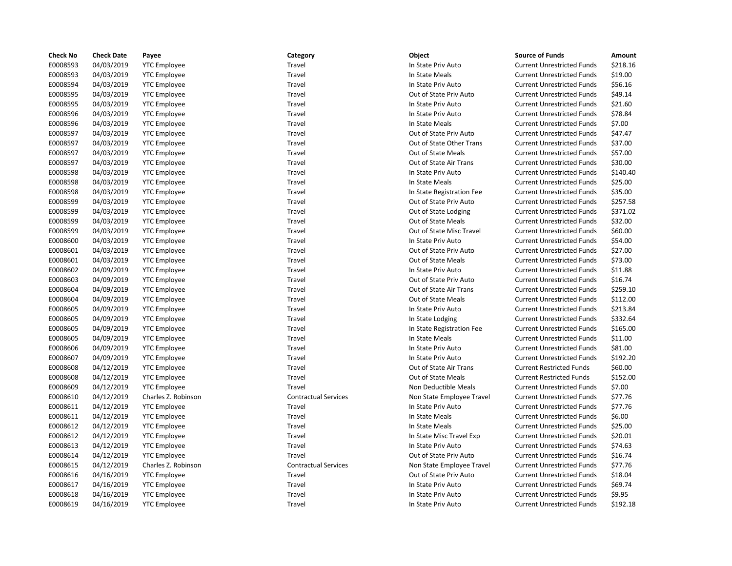| <b>Check No</b> | <b>Check Date</b> | Payee               | Category                    | Object                    | <b>Source of Funds</b>            | Amount   |
|-----------------|-------------------|---------------------|-----------------------------|---------------------------|-----------------------------------|----------|
| E0008593        | 04/03/2019        | <b>YTC Employee</b> | Travel                      | In State Priv Auto        | <b>Current Unrestricted Funds</b> | \$218.16 |
| E0008593        | 04/03/2019        | <b>YTC Employee</b> | Travel                      | In State Meals            | <b>Current Unrestricted Funds</b> | \$19.00  |
| E0008594        | 04/03/2019        | <b>YTC Employee</b> | Travel                      | In State Priv Auto        | <b>Current Unrestricted Funds</b> | \$56.16  |
| E0008595        | 04/03/2019        | <b>YTC Employee</b> | Travel                      | Out of State Priv Auto    | <b>Current Unrestricted Funds</b> | \$49.14  |
| E0008595        | 04/03/2019        | <b>YTC Employee</b> | Travel                      | In State Priv Auto        | <b>Current Unrestricted Funds</b> | \$21.60  |
| E0008596        | 04/03/2019        | <b>YTC Employee</b> | Travel                      | In State Priv Auto        | <b>Current Unrestricted Funds</b> | \$78.84  |
| E0008596        | 04/03/2019        | <b>YTC Employee</b> | Travel                      | In State Meals            | <b>Current Unrestricted Funds</b> | \$7.00   |
| E0008597        | 04/03/2019        | <b>YTC Employee</b> | Travel                      | Out of State Priv Auto    | <b>Current Unrestricted Funds</b> | \$47.47  |
| E0008597        | 04/03/2019        | <b>YTC Employee</b> | Travel                      | Out of State Other Trans  | <b>Current Unrestricted Funds</b> | \$37.00  |
| E0008597        | 04/03/2019        | <b>YTC Employee</b> | Travel                      | Out of State Meals        | <b>Current Unrestricted Funds</b> | \$57.00  |
| E0008597        | 04/03/2019        | <b>YTC Employee</b> | Travel                      | Out of State Air Trans    | <b>Current Unrestricted Funds</b> | \$30.00  |
| E0008598        | 04/03/2019        | <b>YTC Employee</b> | Travel                      | In State Priv Auto        | <b>Current Unrestricted Funds</b> | \$140.40 |
| E0008598        | 04/03/2019        | <b>YTC Employee</b> | Travel                      | In State Meals            | <b>Current Unrestricted Funds</b> | \$25.00  |
| E0008598        | 04/03/2019        | <b>YTC Employee</b> | Travel                      | In State Registration Fee | <b>Current Unrestricted Funds</b> | \$35.00  |
| E0008599        | 04/03/2019        | <b>YTC Employee</b> | Travel                      | Out of State Priv Auto    | <b>Current Unrestricted Funds</b> | \$257.58 |
| E0008599        | 04/03/2019        | <b>YTC Employee</b> | Travel                      | Out of State Lodging      | <b>Current Unrestricted Funds</b> | \$371.02 |
| E0008599        | 04/03/2019        | <b>YTC Employee</b> | Travel                      | Out of State Meals        | <b>Current Unrestricted Funds</b> | \$32.00  |
| E0008599        | 04/03/2019        | <b>YTC Employee</b> | Travel                      | Out of State Misc Travel  | <b>Current Unrestricted Funds</b> | \$60.00  |
| E0008600        | 04/03/2019        | <b>YTC Employee</b> | Travel                      | In State Priv Auto        | <b>Current Unrestricted Funds</b> | \$54.00  |
| E0008601        | 04/03/2019        | <b>YTC Employee</b> | Travel                      | Out of State Priv Auto    | <b>Current Unrestricted Funds</b> | \$27.00  |
| E0008601        | 04/03/2019        | <b>YTC Employee</b> | Travel                      | <b>Out of State Meals</b> | <b>Current Unrestricted Funds</b> | \$73.00  |
| E0008602        | 04/09/2019        | <b>YTC Employee</b> | Travel                      | In State Priv Auto        | <b>Current Unrestricted Funds</b> | \$11.88  |
| E0008603        | 04/09/2019        | <b>YTC Employee</b> | Travel                      | Out of State Priv Auto    | <b>Current Unrestricted Funds</b> | \$16.74  |
| E0008604        | 04/09/2019        | <b>YTC Employee</b> | Travel                      | Out of State Air Trans    | <b>Current Unrestricted Funds</b> | \$259.10 |
| E0008604        | 04/09/2019        | <b>YTC Employee</b> | Travel                      | Out of State Meals        | <b>Current Unrestricted Funds</b> | \$112.00 |
| E0008605        | 04/09/2019        | <b>YTC Employee</b> | Travel                      | In State Priv Auto        | <b>Current Unrestricted Funds</b> | \$213.84 |
| E0008605        | 04/09/2019        | <b>YTC Employee</b> | Travel                      | In State Lodging          | <b>Current Unrestricted Funds</b> | \$332.64 |
| E0008605        | 04/09/2019        | <b>YTC Employee</b> | Travel                      | In State Registration Fee | <b>Current Unrestricted Funds</b> | \$165.00 |
| E0008605        | 04/09/2019        | <b>YTC Employee</b> | Travel                      | In State Meals            | <b>Current Unrestricted Funds</b> | \$11.00  |
| E0008606        | 04/09/2019        | <b>YTC Employee</b> | Travel                      | In State Priv Auto        | <b>Current Unrestricted Funds</b> | \$81.00  |
| E0008607        | 04/09/2019        | <b>YTC Employee</b> | Travel                      | In State Priv Auto        | <b>Current Unrestricted Funds</b> | \$192.20 |
| E0008608        | 04/12/2019        |                     | Travel                      | Out of State Air Trans    | <b>Current Restricted Funds</b>   | \$60.00  |
| E0008608        |                   | <b>YTC Employee</b> | Travel                      | <b>Out of State Meals</b> |                                   | \$152.00 |
|                 | 04/12/2019        | <b>YTC Employee</b> |                             |                           | <b>Current Restricted Funds</b>   |          |
| E0008609        | 04/12/2019        | <b>YTC Employee</b> | Travel                      | Non Deductible Meals      | <b>Current Unrestricted Funds</b> | \$7.00   |
| E0008610        | 04/12/2019        | Charles Z. Robinson | <b>Contractual Services</b> | Non State Employee Travel | <b>Current Unrestricted Funds</b> | \$77.76  |
| E0008611        | 04/12/2019        | <b>YTC Employee</b> | Travel                      | In State Priv Auto        | <b>Current Unrestricted Funds</b> | \$77.76  |
| E0008611        | 04/12/2019        | <b>YTC Employee</b> | Travel                      | In State Meals            | <b>Current Unrestricted Funds</b> | \$6.00   |
| E0008612        | 04/12/2019        | <b>YTC Employee</b> | Travel                      | In State Meals            | <b>Current Unrestricted Funds</b> | \$25.00  |
| E0008612        | 04/12/2019        | <b>YTC Employee</b> | Travel                      | In State Misc Travel Exp  | <b>Current Unrestricted Funds</b> | \$20.01  |
| E0008613        | 04/12/2019        | <b>YTC Employee</b> | Travel                      | In State Priv Auto        | <b>Current Unrestricted Funds</b> | \$74.63  |
| E0008614        | 04/12/2019        | <b>YTC Employee</b> | Travel                      | Out of State Priv Auto    | <b>Current Unrestricted Funds</b> | \$16.74  |
| E0008615        | 04/12/2019        | Charles Z. Robinson | <b>Contractual Services</b> | Non State Employee Travel | <b>Current Unrestricted Funds</b> | \$77.76  |
| E0008616        | 04/16/2019        | <b>YTC Employee</b> | Travel                      | Out of State Priv Auto    | <b>Current Unrestricted Funds</b> | \$18.04  |
| E0008617        | 04/16/2019        | <b>YTC Employee</b> | Travel                      | In State Priv Auto        | <b>Current Unrestricted Funds</b> | \$69.74  |
| E0008618        | 04/16/2019        | <b>YTC Employee</b> | Travel                      | In State Priv Auto        | <b>Current Unrestricted Funds</b> | \$9.95   |
| E0008619        | 04/16/2019        | <b>YTC Employee</b> | Travel                      | In State Priv Auto        | <b>Current Unrestricted Funds</b> | \$192.18 |